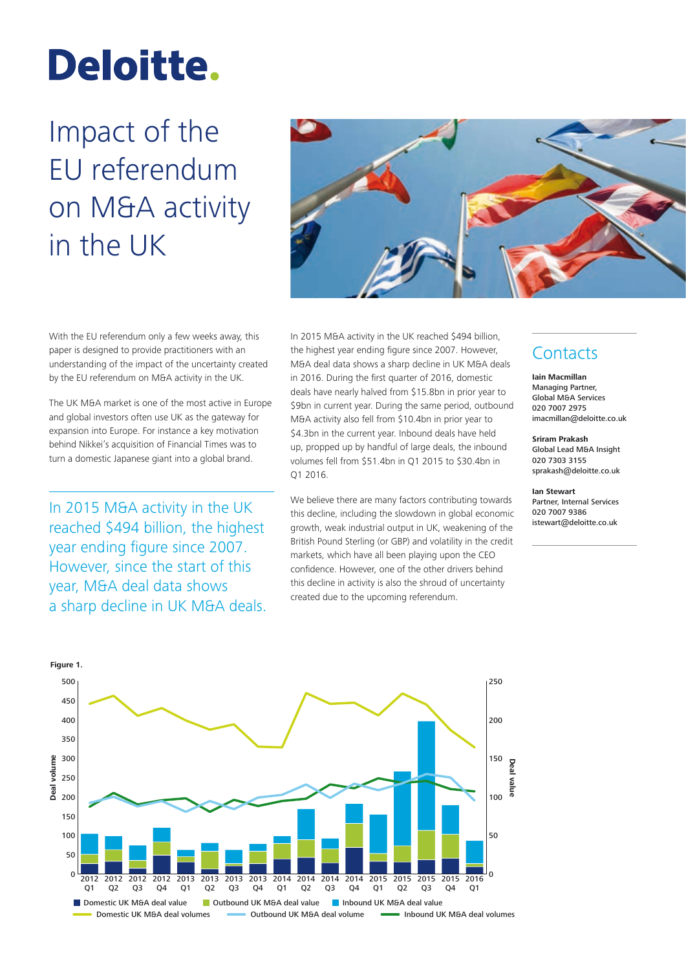# Deloitte.

## Impact of the EU referendum on M&A activity in the UK



With the EU referendum only a few weeks away, this paper is designed to provide practitioners with an understanding of the impact of the uncertainty created by the EU referendum on M&A activity in the UK.

The UK M&A market is one of the most active in Europe and global investors often use UK as the gateway for expansion into Europe. For instance a key motivation behind Nikkei's acquisition of Financial Times was to turn a domestic Japanese giant into a global brand.

In 2015 M&A activity in the UK reached \$494 billion, the highest year ending figure since 2007. However, since the start of this year, M&A deal data shows a sharp decline in UK M&A deals. In 2015 M&A activity in the UK reached \$494 billion, the highest year ending figure since 2007. However, M&A deal data shows a sharp decline in UK M&A deals in 2016. During the first quarter of 2016, domestic deals have nearly halved from \$15.8bn in prior year to \$9bn in current year. During the same period, outbound M&A activity also fell from \$10.4bn in prior year to \$4.3bn in the current year. Inbound deals have held up, propped up by handful of large deals, the inbound volumes fell from \$51.4bn in Q1 2015 to \$30.4bn in Q1 2016.

We believe there are many factors contributing towards this decline, including the slowdown in global economic growth, weak industrial output in UK, weakening of the British Pound Sterling (or GBP) and volatility in the credit markets, which have all been playing upon the CEO confidence. However, one of the other drivers behind this decline in activity is also the shroud of uncertainty created due to the upcoming referendum.

### **Contacts**

**Iain Macmillan** Managing Partner, Global M&A Services 020 7007 2975 imacmillan@deloitte.co.uk

**Sriram Prakash** Global Lead M&A Insight 020 7303 3155 sprakash@deloitte.co.uk

**Ian Stewart** Partner, Internal Services 020 7007 9386 istewart@deloitte.co.uk

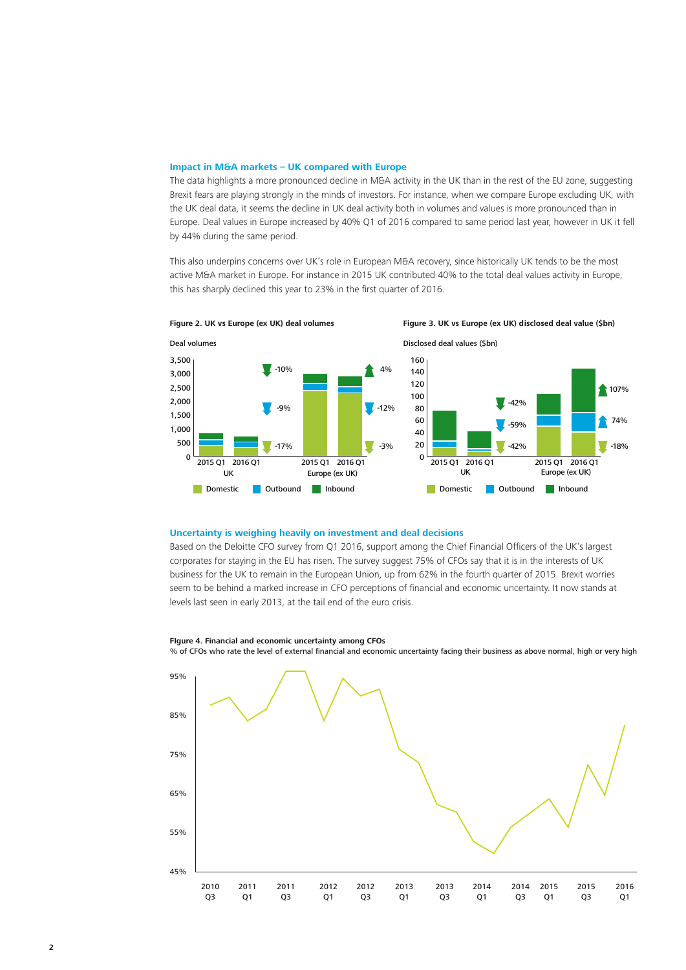#### **Impact in M&A markets – UK compared with Europe**

The data highlights a more pronounced decline in M&A activity in the UK than in the rest of the EU zone, suggesting Brexit fears are playing strongly in the minds of investors. For instance, when we compare Europe excluding UK, with the UK deal data, it seems the decline in UK deal activity both in volumes and values is more pronounced than in Europe. Deal values in Europe increased by 40% Q1 of 2016 compared to same period last year, however in UK it fell by 44% during the same period.

This also underpins concerns over UK's role in European M&A recovery, since historically UK tends to be the most active M&A market in Europe. For instance in 2015 UK contributed 40% to the total deal values activity in Europe, this has sharply declined this year to 23% in the first quarter of 2016.



**Figure 2. UK vs Europe (ex UK) deal volumes Figure 3. UK vs Europe (ex UK) disclosed deal value (\$bn)**

#### **Uncertainty is weighing heavily on investment and deal decisions**

Based on the Deloitte CFO survey from Q1 2016, support among the Chief Financial Officers of the UK's largest corporates for staying in the EU has risen. The survey suggest 75% of CFOs say that it is in the interests of UK business for the UK to remain in the European Union, up from 62% in the fourth quarter of 2015. Brexit worries seem to be behind a marked increase in CFO perceptions of financial and economic uncertainty. It now stands at levels last seen in early 2013, at the tail end of the euro crisis.

#### 95% 85% 75% 65% 55% 45% 2010 Q3 2012 Q1 2013 Q3 2015 Q1 2011 Q1 2012 Q3 2014 Q1 2015 Q3 2011 Q3 2013  $\Omega$ 1 2014 Q3 2016 Q1

**FIgure 4. Financial and economic uncertainty among CFOs**

% of CFOs who rate the level of external financial and economic uncertainty facing their business as above normal, high or very high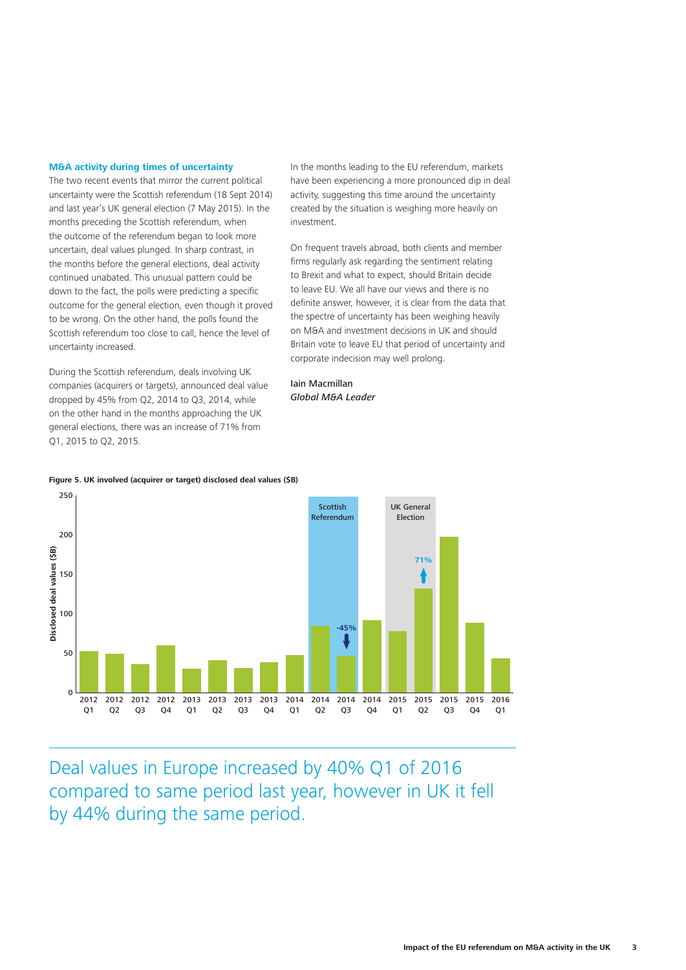#### **M&A activity during times of uncertainty**

The two recent events that mirror the current political uncertainty were the Scottish referendum (18 Sept 2014) and last year's UK general election (7 May 2015). In the months preceding the Scottish referendum, when the outcome of the referendum began to look more uncertain, deal values plunged. In sharp contrast, in the months before the general elections, deal activity continued unabated. This unusual pattern could be down to the fact, the polls were predicting a specific outcome for the general election, even though it proved to be wrong. On the other hand, the polls found the Scottish referendum too close to call, hence the level of uncertainty increased.

During the Scottish referendum, deals involving UK companies (acquirers or targets), announced deal value dropped by 45% from Q2, 2014 to Q3, 2014, while on the other hand in the months approaching the UK general elections, there was an increase of 71% from Q1, 2015 to Q2, 2015.

In the months leading to the EU referendum, markets have been experiencing a more pronounced dip in deal activity, suggesting this time around the uncertainty created by the situation is weighing more heavily on investment.

On frequent travels abroad, both clients and member firms regularly ask regarding the sentiment relating to Brexit and what to expect, should Britain decide to leave EU. We all have our views and there is no definite answer, however, it is clear from the data that the spectre of uncertainty has been weighing heavily on M&A and investment decisions in UK and should Britain vote to leave EU that period of uncertainty and corporate indecision may well prolong.

Iain Macmillan *Global M&A Leader*





Deal values in Europe increased by 40% Q1 of 2016 compared to same period last year, however in UK it fell by 44% during the same period.